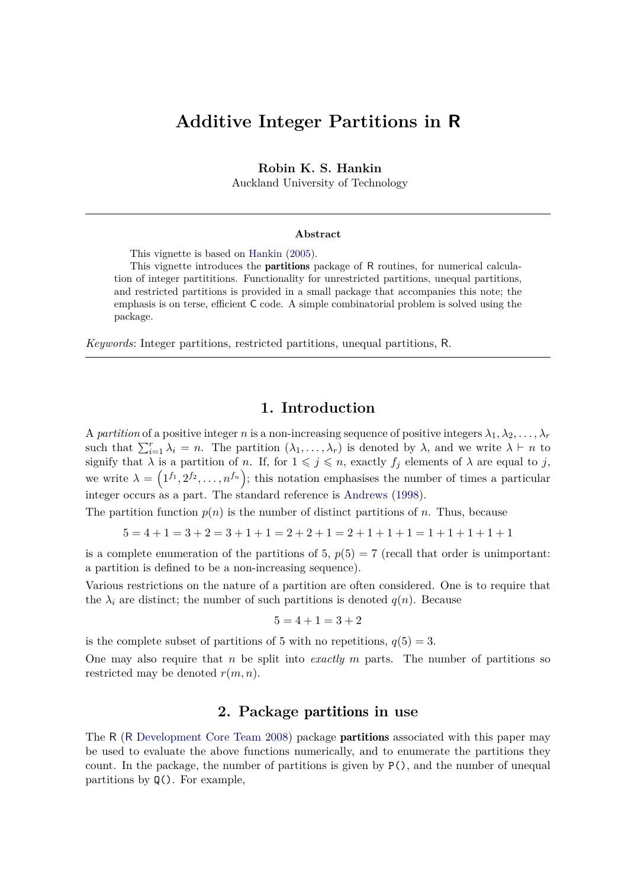# **Additive Integer Partitions in R**

**Robin K. S. Hankin**

Auckland University of Technology

#### **Abstract**

This vignette is based on [Hankin](#page-2-0) [\(2005\)](#page-2-0).

This vignette introduces the partitions package of R routines, for numerical calculation of integer partititions. Functionality for unrestricted partitions, unequal partitions, and restricted partitions is provided in a small package that accompanies this note; the emphasis is on terse, efficient C code. A simple combinatorial problem is solved using the package.

*Keywords*: Integer partitions, restricted partitions, unequal partitions, R.

#### **1. Introduction**

A *partition* of a positive integer *n* is a non-increasing sequence of positive integers  $\lambda_1, \lambda_2, \ldots, \lambda_r$ such that  $\sum_{i=1}^{r} \lambda_i = n$ . The partition  $(\lambda_1, \ldots, \lambda_r)$  is denoted by  $\lambda$ , and we write  $\lambda \vdash n$  to signify that  $\lambda$  is a partition of *n*. If, for  $1 \leqslant j \leqslant n$ , exactly  $f_j$  elements of  $\lambda$  are equal to *j*, we write  $\lambda = (1^{f_1}, 2^{f_2}, \ldots, n^{f_n})$ ; this notation emphasises the number of times a particular integer occurs as a part. The standard reference is [Andrews](#page-2-1) [\(1998\)](#page-2-1).

The partition function  $p(n)$  is the number of distinct partitions of *n*. Thus, because

 $5 = 4 + 1 = 3 + 2 = 3 + 1 + 1 = 2 + 2 + 1 = 2 + 1 + 1 + 1 = 1 + 1 + 1 + 1 + 1$ 

is a complete enumeration of the partitions of 5,  $p(5) = 7$  (recall that order is unimportant: a partition is defined to be a non-increasing sequence).

Various restrictions on the nature of a partition are often considered. One is to require that the  $\lambda_i$  are distinct; the number of such partitions is denoted  $q(n)$ . Because

$$
5 = 4 + 1 = 3 + 2
$$

is the complete subset of partitions of 5 with no repetitions,  $q(5) = 3$ .

One may also require that *n* be split into *exactly m* parts. The number of partitions so restricted may be denoted *r*(*m, n*).

### **2. Package** partitions **in use**

The R (R [Development Core Team 2008\)](#page-2-2) package **partitions** associated with this paper may be used to evaluate the above functions numerically, and to enumerate the partitions they count. In the package, the number of partitions is given by  $P()$ , and the number of unequal partitions by Q(). For example,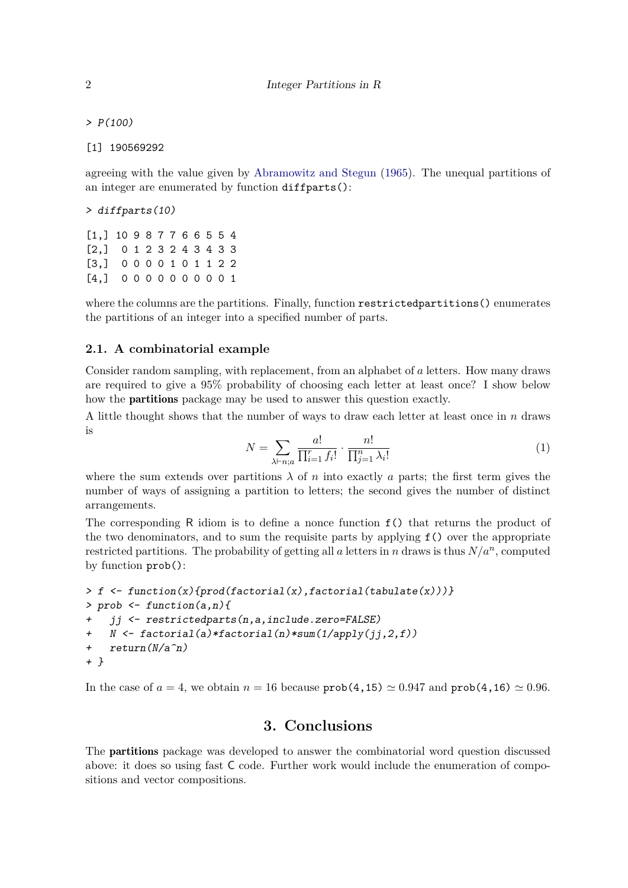$> P(100)$ 

[1] 190569292

agreeing with the value given by [Abramowitz and Stegun](#page-2-3) [\(1965\)](#page-2-3). The unequal partitions of an integer are enumerated by function diffparts():

> diffparts(10)

[1,] 10 9 8 7 7 6 6 5 5 4 [2,] 0 1 2 3 2 4 3 4 3 3 [3,] 0 0 0 0 1 0 1 1 2 2 [4,] 0 0 0 0 0 0 0 0 0 1

where the columns are the partitions. Finally, function restrictedpartitions() enumerates the partitions of an integer into a specified number of parts.

#### **2.1. A combinatorial example**

Consider random sampling, with replacement, from an alphabet of *a* letters. How many draws are required to give a 95% probability of choosing each letter at least once? I show below how the partitions package may be used to answer this question exactly.

A little thought shows that the number of ways to draw each letter at least once in *n* draws is

$$
N = \sum_{\lambda \vdash n; a} \frac{a!}{\prod_{i=1}^r f_i!} \cdot \frac{n!}{\prod_{j=1}^n \lambda_i!}
$$
 (1)

where the sum extends over partitions  $\lambda$  of *n* into exactly *a* parts; the first term gives the number of ways of assigning a partition to letters; the second gives the number of distinct arrangements.

The corresponding R idiom is to define a nonce function f() that returns the product of the two denominators, and to sum the requisite parts by applying f() over the appropriate restricted partitions. The probability of getting all *a* letters in *n* draws is thus  $N/a^n$ , computed by function prob():

```
> f \leq function(x) {prod(factorial(x), factorial(tabulate(x)))}
> prob <- function(a,n){
    ji \leftarrow \text{restrictedparts}(n, a, include.zero = FALSE)+ N <- factorial(a)*factorial(n)*sum(1/apply(jj,2,f))
+ return(N/a^n)
+ }
```
In the case of  $a = 4$ , we obtain  $n = 16$  because  $prob(4, 15) \approx 0.947$  and  $prob(4, 16) \approx 0.96$ .

## **3. Conclusions**

The partitions package was developed to answer the combinatorial word question discussed above: it does so using fast C code. Further work would include the enumeration of compositions and vector compositions.